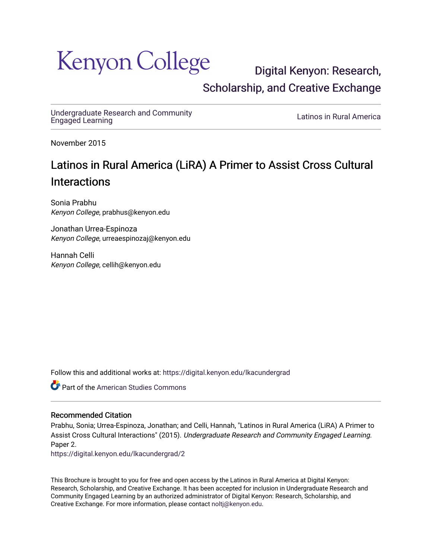# **Kenyon College**

[Digital Kenyon: Research,](https://digital.kenyon.edu/)  [Scholarship, and Creative Exchange](https://digital.kenyon.edu/) 

[Undergraduate Research and Community](https://digital.kenyon.edu/lkacundergrad)

Latinos in Rural America

November 2015

## Latinos in Rural America (LiRA) A Primer to Assist Cross Cultural **Interactions**

Sonia Prabhu Kenyon College, prabhus@kenyon.edu

Jonathan Urrea-Espinoza Kenyon College, urreaespinozaj@kenyon.edu

Hannah Celli Kenyon College, cellih@kenyon.edu

Follow this and additional works at: [https://digital.kenyon.edu/lkacundergrad](https://digital.kenyon.edu/lkacundergrad?utm_source=digital.kenyon.edu%2Flkacundergrad%2F2&utm_medium=PDF&utm_campaign=PDFCoverPages)

**Part of the [American Studies Commons](http://network.bepress.com/hgg/discipline/439?utm_source=digital.kenyon.edu%2Flkacundergrad%2F2&utm_medium=PDF&utm_campaign=PDFCoverPages)** 

#### Recommended Citation

Prabhu, Sonia; Urrea-Espinoza, Jonathan; and Celli, Hannah, "Latinos in Rural America (LiRA) A Primer to Assist Cross Cultural Interactions" (2015). Undergraduate Research and Community Engaged Learning. Paper 2.

[https://digital.kenyon.edu/lkacundergrad/2](https://digital.kenyon.edu/lkacundergrad/2?utm_source=digital.kenyon.edu%2Flkacundergrad%2F2&utm_medium=PDF&utm_campaign=PDFCoverPages)

This Brochure is brought to you for free and open access by the Latinos in Rural America at Digital Kenyon: Research, Scholarship, and Creative Exchange. It has been accepted for inclusion in Undergraduate Research and Community Engaged Learning by an authorized administrator of Digital Kenyon: Research, Scholarship, and Creative Exchange. For more information, please contact [noltj@kenyon.edu](mailto:noltj@kenyon.edu).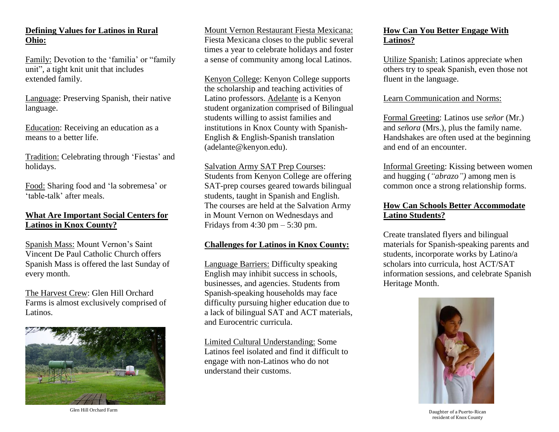#### **Defining Values for Latinos in Rural Ohio:**

Family: Devotion to the 'familia' or "family unit", a tight knit unit that includes extended family.

Language: Preserving Spanish, their native language.

Education: Receiving an education as a means to a better life.

Tradition: Celebrating through 'Fiestas' and holidays.

Food: Sharing food and 'la sobremesa' or 'table-talk' after meals.

#### **What Are Important Social Centers for Latinos in Knox County?**

Spanish Mass: Mount Vernon's Saint Vincent De Paul Catholic Church offers Spanish Mass is offered the last Sunday of every month.

The Harvest Crew: Glen Hill Orchard Farms is almost exclusively comprised of Latinos.



Glen Hill Orchard Farm

Mount Vernon Restaurant Fiesta Mexicana: Fiesta Mexicana closes to the public several times a year to celebrate holidays and foster a sense of community among local Latinos.

Kenyon College: Kenyon College supports the scholarship and teaching activities of Latino professors. Adelante is a Kenyon student organization comprised of Bilingual students willing to assist families and institutions in Knox County with Spanish-English & English-Spanish translation (adelante@kenyon.edu).

#### Salvation Army SAT Prep Courses:

Students from Kenyon College are offering SAT-prep courses geared towards bilingual students, taught in Spanish and English. The courses are held at the Salvation Army in Mount Vernon on Wednesdays and Fridays from  $4:30 \text{ pm} - 5:30 \text{ pm}$ .

#### **Challenges for Latinos in Knox County:**

Language Barriers: Difficulty speaking English may inhibit success in schools, businesses, and agencies. Students from Spanish-speaking households may face difficulty pursuing higher education due to a lack of bilingual SAT and ACT materials, and Eurocentric curricula.

Limited Cultural Understanding: Some Latinos feel isolated and find it difficult to engage with non-Latinos who do not understand their customs.

#### **How Can You Better Engage With Latinos?**

Utilize Spanish: Latinos appreciate when others try to speak Spanish, even those not fluent in the language.

#### Learn Communication and Norms:

Formal Greeting: Latinos use *señor* (Mr.) and *señora* (Mrs.), plus the family name. Handshakes are often used at the beginning and end of an encounter.

Informal Greeting: Kissing between women and hugging (*"abrazo")* among men is common once a strong relationship forms.

#### **How Can Schools Better Accommodate Latino Students?**

Create translated flyers and bilingual materials for Spanish-speaking parents and students, incorporate works by Latino/a scholars into curricula, host ACT/SAT information sessions, and celebrate Spanish Heritage Month.



Daughter of a Puerto-Rican resident of Knox County